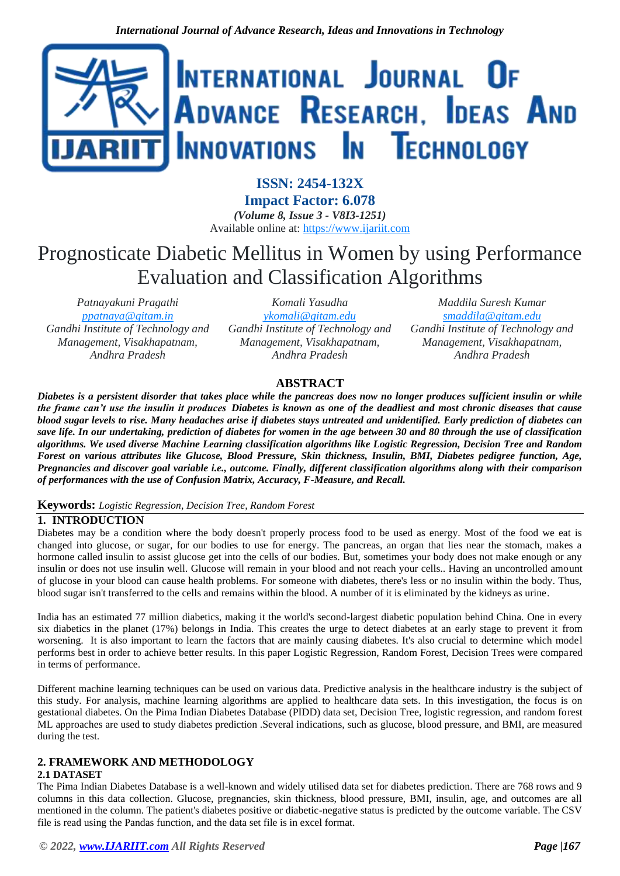

**ISSN: 2454-132X Impact Factor: 6.078** *(Volume 8, Issue 3 - V8I3-1251)* Available online at: [https://www.ijariit.com](https://www.ijariit.com/?utm_source=pdf&utm_medium=edition&utm_campaign=OmAkSols&utm_term=V8I3-1251)

# Prognosticate Diabetic Mellitus in Women by using Performance Evaluation and Classification Algorithms

*Patnayakuni Pragathi [ppatnaya@gitam.in](mailto:ppatnaya@gitam.in) Gandhi Institute of Technology and Management, Visakhapatnam, Andhra Pradesh*

*Komali Yasudha [ykomali@gitam.edu](mailto:ykomali@gitam.edu) Gandhi Institute of Technology and Management, Visakhapatnam, Andhra Pradesh*

*Maddila Suresh Kumar [smaddila@gitam.edu](mailto:smaddila@gitam.edu) Gandhi Institute of Technology and Management, Visakhapatnam, Andhra Pradesh*

# **ABSTRACT**

*Diabetes is a persistent disorder that takes place while the pancreas does now no longer produces sufficient insulin or while the frame can't use the insulin it produces Diabetes is known as one of the deadliest and most chronic diseases that cause blood sugar levels to rise. Many headaches arise if diabetes stays untreated and unidentified. Early prediction of diabetes can save life. In our undertaking, prediction of diabetes for women in the age between 30 and 80 through the use of classification algorithms. We used diverse Machine Learning classification algorithms like Logistic Regression, Decision Tree and Random Forest on various attributes like Glucose, Blood Pressure, Skin thickness, Insulin, BMI, Diabetes pedigree function, Age, Pregnancies and discover goal variable i.e., outcome. Finally, different classification algorithms along with their comparison of performances with the use of Confusion Matrix, Accuracy, F-Measure, and Recall.*

# **Keywords:** *Logistic Regression, Decision Tree, Random Forest*

# **1. INTRODUCTION**

Diabetes may be a condition where the body doesn't properly process food to be used as energy. Most of the food we eat is changed into glucose, or sugar, for our bodies to use for energy. The pancreas, an organ that lies near the stomach, makes a hormone called insulin to assist glucose get into the cells of our bodies. But, sometimes your body does not make enough or any insulin or does not use insulin well. Glucose will remain in your blood and not reach your cells.. Having an uncontrolled amount of glucose in your blood can cause health problems. For someone with diabetes, there's less or no insulin within the body. Thus, blood sugar isn't transferred to the cells and remains within the blood. A number of it is eliminated by the kidneys as urine.

India has an estimated 77 million diabetics, making it the world's second-largest diabetic population behind China. One in every six diabetics in the planet (17%) belongs in India. This creates the urge to detect diabetes at an early stage to prevent it from worsening. It is also important to learn the factors that are mainly causing diabetes. It's also crucial to determine which model performs best in order to achieve better results. In this paper Logistic Regression, Random Forest, Decision Trees were compared in terms of performance.

Different machine learning techniques can be used on various data. Predictive analysis in the healthcare industry is the subject of this study. For analysis, machine learning algorithms are applied to healthcare data sets. In this investigation, the focus is on gestational diabetes. On the Pima Indian Diabetes Database (PIDD) data set, Decision Tree, logistic regression, and random forest ML approaches are used to study diabetes prediction .Several indications, such as glucose, blood pressure, and BMI, are measured during the test.

# **2. FRAMEWORK AND METHODOLOGY**

## **2.1 DATASET**

The Pima Indian Diabetes Database is a well-known and widely utilised data set for diabetes prediction. There are 768 rows and 9 columns in this data collection. Glucose, pregnancies, skin thickness, blood pressure, BMI, insulin, age, and outcomes are all mentioned in the column. The patient's diabetes positive or diabetic-negative status is predicted by the outcome variable. The CSV file is read using the Pandas function, and the data set file is in excel format.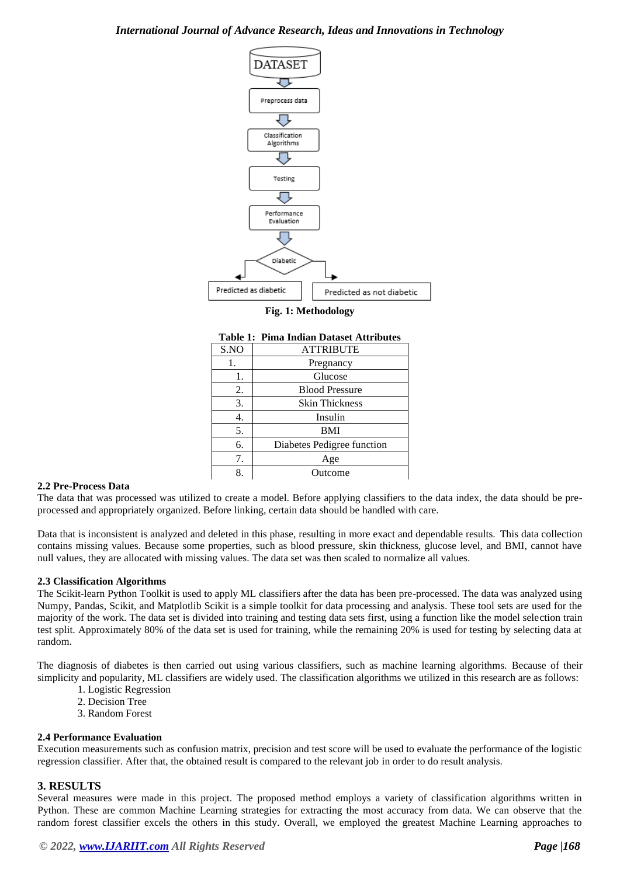## *International Journal of Advance Research, Ideas and Innovations in Technology*



#### **Fig. 1: Methodology**

| S.NO | <b>ATTRIBUTE</b>           |  |  |
|------|----------------------------|--|--|
| 1.   | Pregnancy                  |  |  |
| 1.   | Glucose                    |  |  |
| 2.   | <b>Blood Pressure</b>      |  |  |
| 3.   | <b>Skin Thickness</b>      |  |  |
|      | Insulin                    |  |  |
| 5.   | <b>BMI</b>                 |  |  |
| 6.   | Diabetes Pedigree function |  |  |
| 7.   | Age                        |  |  |
| 8.   | Outcome                    |  |  |

| <b>Table 1: Pima Indian Dataset Attributes</b> |  |
|------------------------------------------------|--|
|                                                |  |

#### **2.2 Pre-Process Data**

The data that was processed was utilized to create a model. Before applying classifiers to the data index, the data should be preprocessed and appropriately organized. Before linking, certain data should be handled with care.

Data that is inconsistent is analyzed and deleted in this phase, resulting in more exact and dependable results. This data collection contains missing values. Because some properties, such as blood pressure, skin thickness, glucose level, and BMI, cannot have null values, they are allocated with missing values. The data set was then scaled to normalize all values.

#### **2.3 Classification Algorithms**

The Scikit-learn Python Toolkit is used to apply ML classifiers after the data has been pre-processed. The data was analyzed using Numpy, Pandas, Scikit, and Matplotlib Scikit is a simple toolkit for data processing and analysis. These tool sets are used for the majority of the work. The data set is divided into training and testing data sets first, using a function like the model selection train test split. Approximately 80% of the data set is used for training, while the remaining 20% is used for testing by selecting data at random.

The diagnosis of diabetes is then carried out using various classifiers, such as machine learning algorithms. Because of their simplicity and popularity, ML classifiers are widely used. The classification algorithms we utilized in this research are as follows:

- 1. Logistic Regression
- 2. Decision Tree
- 3. Random Forest

#### **2.4 Performance Evaluation**

Execution measurements such as confusion matrix, precision and test score will be used to evaluate the performance of the logistic regression classifier. After that, the obtained result is compared to the relevant job in order to do result analysis.

#### **3. RESULTS**

Several measures were made in this project. The proposed method employs a variety of classification algorithms written in Python. These are common Machine Learning strategies for extracting the most accuracy from data. We can observe that the random forest classifier excels the others in this study. Overall, we employed the greatest Machine Learning approaches to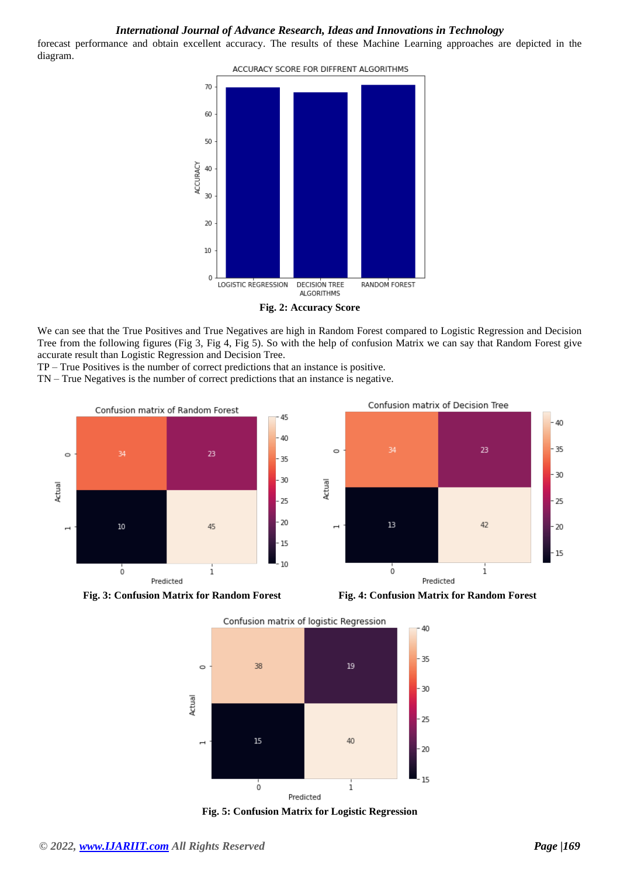## *International Journal of Advance Research, Ideas and Innovations in Technology*

forecast performance and obtain excellent accuracy. The results of these Machine Learning approaches are depicted in the diagram.



We can see that the True Positives and True Negatives are high in Random Forest compared to Logistic Regression and Decision Tree from the following figures (Fig 3, Fig 4, Fig 5). So with the help of confusion Matrix we can say that Random Forest give accurate result than Logistic Regression and Decision Tree.

TP – True Positives is the number of correct predictions that an instance is positive.

TN – True Negatives is the number of correct predictions that an instance is negative.



**Fig. 3: Confusion Matrix for Random Forest Fig. 4: Confusion Matrix for Random Forest**



Confusion matrix of logistic Regression



**Fig. 5: Confusion Matrix for Logistic Regression**